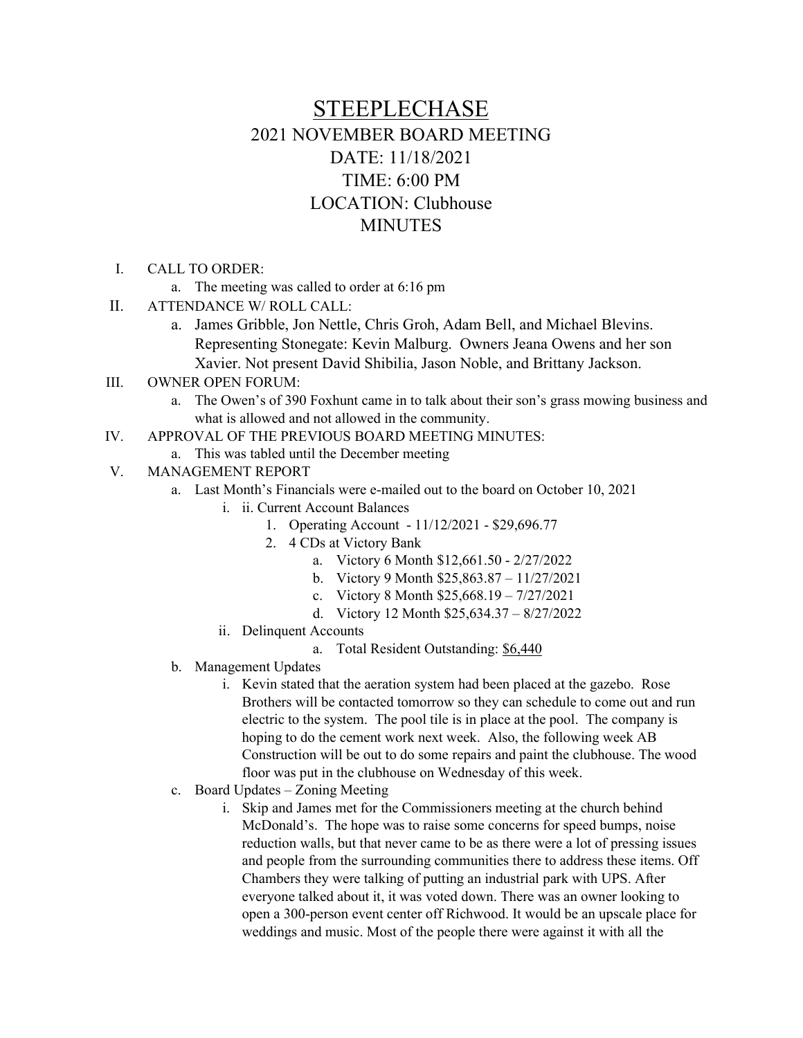## STEEPLECHASE 2021 NOVEMBER BOARD MEETING DATE: 11/18/2021 TIME: 6:00 PM LOCATION: Clubhouse MINUTES

- I. CALL TO ORDER:
	- a. The meeting was called to order at 6:16 pm
- II. ATTENDANCE W/ ROLL CALL:
	- a. James Gribble, Jon Nettle, Chris Groh, Adam Bell, and Michael Blevins. Representing Stonegate: Kevin Malburg. Owners Jeana Owens and her son Xavier. Not present David Shibilia, Jason Noble, and Brittany Jackson.
- III. OWNER OPEN FORUM:
	- a. The Owen's of 390 Foxhunt came in to talk about their son's grass mowing business and what is allowed and not allowed in the community.
- IV. APPROVAL OF THE PREVIOUS BOARD MEETING MINUTES:
	- a. This was tabled until the December meeting
- V. MANAGEMENT REPORT
	- a. Last Month's Financials were e-mailed out to the board on October 10, 2021
		- i. ii. Current Account Balances
			- 1. Operating Account 11/12/2021 \$29,696.77
			- 2. 4 CDs at Victory Bank
				- a. Victory 6 Month \$12,661.50 2/27/2022
				- b. Victory 9 Month \$25,863.87 11/27/2021
				- c. Victory 8 Month \$25,668.19 7/27/2021
				- d. Victory 12 Month \$25,634.37 8/27/2022
		- ii. Delinquent Accounts
			- a. Total Resident Outstanding: \$6,440
	- b. Management Updates
		- i. Kevin stated that the aeration system had been placed at the gazebo. Rose Brothers will be contacted tomorrow so they can schedule to come out and run electric to the system. The pool tile is in place at the pool. The company is hoping to do the cement work next week. Also, the following week AB Construction will be out to do some repairs and paint the clubhouse. The wood floor was put in the clubhouse on Wednesday of this week.
	- c. Board Updates Zoning Meeting
		- i. Skip and James met for the Commissioners meeting at the church behind McDonald's. The hope was to raise some concerns for speed bumps, noise reduction walls, but that never came to be as there were a lot of pressing issues and people from the surrounding communities there to address these items. Off Chambers they were talking of putting an industrial park with UPS. After everyone talked about it, it was voted down. There was an owner looking to open a 300-person event center off Richwood. It would be an upscale place for weddings and music. Most of the people there were against it with all the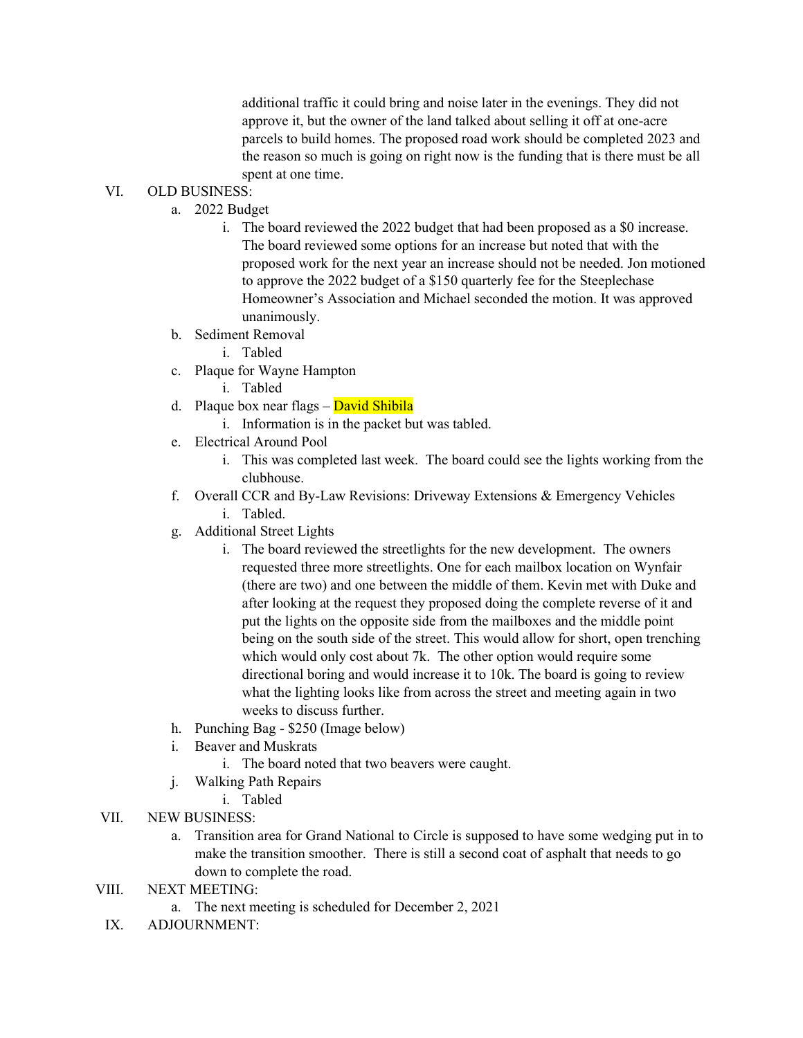additional traffic it could bring and noise later in the evenings. They did not approve it, but the owner of the land talked about selling it off at one-acre parcels to build homes. The proposed road work should be completed 2023 and the reason so much is going on right now is the funding that is there must be all spent at one time.

## VI. OLD BUSINESS:

- a. 2022 Budget
	- i. The board reviewed the 2022 budget that had been proposed as a \$0 increase. The board reviewed some options for an increase but noted that with the proposed work for the next year an increase should not be needed. Jon motioned to approve the 2022 budget of a \$150 quarterly fee for the Steeplechase Homeowner's Association and Michael seconded the motion. It was approved unanimously.
- b. Sediment Removal
	- i. Tabled
- c. Plaque for Wayne Hampton
	- i. Tabled
- d. Plaque box near flags David Shibila
	- i. Information is in the packet but was tabled.
- e. Electrical Around Pool
	- i. This was completed last week. The board could see the lights working from the clubhouse.
- f. Overall CCR and By-Law Revisions: Driveway Extensions & Emergency Vehicles i. Tabled.
- g. Additional Street Lights
	- i. The board reviewed the streetlights for the new development. The owners requested three more streetlights. One for each mailbox location on Wynfair (there are two) and one between the middle of them. Kevin met with Duke and after looking at the request they proposed doing the complete reverse of it and put the lights on the opposite side from the mailboxes and the middle point being on the south side of the street. This would allow for short, open trenching which would only cost about 7k. The other option would require some directional boring and would increase it to 10k. The board is going to review what the lighting looks like from across the street and meeting again in two weeks to discuss further.
- h. Punching Bag \$250 (Image below)
- i. Beaver and Muskrats
	- i. The board noted that two beavers were caught.
- j. Walking Path Repairs
	- i. Tabled
- VII. NEW BUSINESS:
	- a. Transition area for Grand National to Circle is supposed to have some wedging put in to make the transition smoother. There is still a second coat of asphalt that needs to go down to complete the road.
- VIII. NEXT MEETING:
	- a. The next meeting is scheduled for December 2, 2021
- IX. ADJOURNMENT: